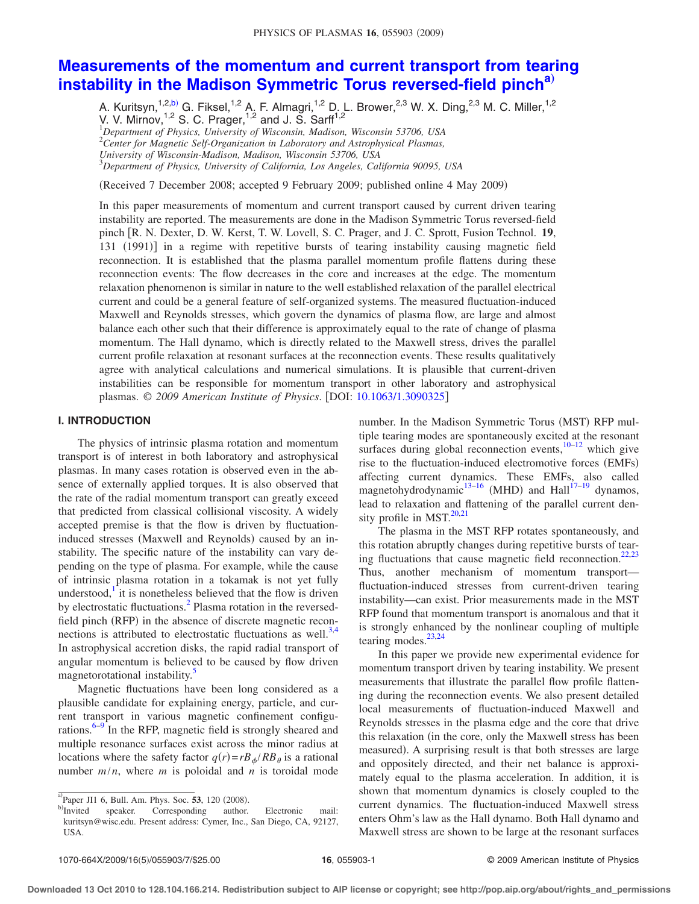# <span id="page-0-0"></span>**[Measurements of the momentum and current transport from tearing](http://dx.doi.org/10.1063/1.3090325) [instability in the Madison Symmetric Torus reversed-field pinch](http://dx.doi.org/10.1063/1.3090325)[a](#page-0-0)**…

A. Kuritsyn,<sup>1,2[,b](#page-0-1))</sup> G. Fiksel,<sup>1,2</sup> A. F. Almagri,<sup>1,2</sup> D. L. Brower,<sup>2,3</sup> W. X. Ding,<sup>2,3</sup> M. C. Miller,<sup>1,2</sup> V. V. Mirnov,  $1,2$  S. C. Prager,  $1,2$  and J. S. Sarff<sup>1,2</sup>

1 *Department of Physics, University of Wisconsin, Madison, Wisconsin 53706, USA*

2 *Center for Magnetic Self-Organization in Laboratory and Astrophysical Plasmas,*

3 *Department of Physics, University of California, Los Angeles, California 90095, USA*

(Received 7 December 2008; accepted 9 February 2009; published online 4 May 2009)

In this paper measurements of momentum and current transport caused by current driven tearing instability are reported. The measurements are done in the Madison Symmetric Torus reversed-field pinch  $[R, N]$ . Dexter, D. W. Kerst, T. W. Lovell, S. C. Prager, and J. C. Sprott, Fusion Technol. 19, 131 (1991) in a regime with repetitive bursts of tearing instability causing magnetic field reconnection. It is established that the plasma parallel momentum profile flattens during these reconnection events: The flow decreases in the core and increases at the edge. The momentum relaxation phenomenon is similar in nature to the well established relaxation of the parallel electrical current and could be a general feature of self-organized systems. The measured fluctuation-induced Maxwell and Reynolds stresses, which govern the dynamics of plasma flow, are large and almost balance each other such that their difference is approximately equal to the rate of change of plasma momentum. The Hall dynamo, which is directly related to the Maxwell stress, drives the parallel current profile relaxation at resonant surfaces at the reconnection events. These results qualitatively agree with analytical calculations and numerical simulations. It is plausible that current-driven instabilities can be responsible for momentum transport in other laboratory and astrophysical plasmas. © 2009 American Institute of Physics. [DOI: [10.1063/1.3090325](http://dx.doi.org/10.1063/1.3090325)]

# **I. INTRODUCTION**

The physics of intrinsic plasma rotation and momentum transport is of interest in both laboratory and astrophysical plasmas. In many cases rotation is observed even in the absence of externally applied torques. It is also observed that the rate of the radial momentum transport can greatly exceed that predicted from classical collisional viscosity. A widely accepted premise is that the flow is driven by fluctuationinduced stresses (Maxwell and Reynolds) caused by an instability. The specific nature of the instability can vary depending on the type of plasma. For example, while the cause of intrinsic plasma rotation in a tokamak is not yet fully understood, $\frac{1}{1}$  it is nonetheless believed that the flow is driven by electrostatic fluctuations.<sup>2</sup> Plasma rotation in the reversedfield pinch (RFP) in the absence of discrete magnetic reconnections is attributed to electrostatic fluctuations as well. $3,4$  $3,4$ In astrophysical accretion disks, the rapid radial transport of angular momentum is believed to be caused by flow driven magnetorotational instability.<sup>5</sup>

Magnetic fluctuations have been long considered as a plausible candidate for explaining energy, particle, and current transport in various magnetic confinement configurations. $6-9$  In the RFP, magnetic field is strongly sheared and multiple resonance surfaces exist across the minor radius at locations where the safety factor  $q(r) = rB_{\phi}/RB_{\theta}$  is a rational number  $m/n$ , where *m* is poloidal and *n* is toroidal mode number. In the Madison Symmetric Torus (MST) RFP multiple tearing modes are spontaneously excited at the resonant surfaces during global reconnection events, $10^{-12}$  $10^{-12}$  $10^{-12}$  which give rise to the fluctuation-induced electromotive forces (EMFs) affecting current dynamics. These EMFs, also called magnetohydrodynamic<sup>13[–16](#page-6-10)</sup> (MHD) and Hall<sup>17[–19](#page-6-6)</sup> dynamos, lead to relaxation and flattening of the parallel current density profile in MST. $^{20,21}$  $^{20,21}$  $^{20,21}$ 

The plasma in the MST RFP rotates spontaneously, and this rotation abruptly changes during repetitive bursts of tear-ing fluctuations that cause magnetic field reconnection.<sup>22[,23](#page-6-15)</sup> Thus, another mechanism of momentum transport fluctuation-induced stresses from current-driven tearing instability—can exist. Prior measurements made in the MST RFP found that momentum transport is anomalous and that it is strongly enhanced by the nonlinear coupling of multiple tearing modes. $23,24$  $23,24$ 

In this paper we provide new experimental evidence for momentum transport driven by tearing instability. We present measurements that illustrate the parallel flow profile flattening during the reconnection events. We also present detailed local measurements of fluctuation-induced Maxwell and Reynolds stresses in the plasma edge and the core that drive this relaxation (in the core, only the Maxwell stress has been measured). A surprising result is that both stresses are large and oppositely directed, and their net balance is approximately equal to the plasma acceleration. In addition, it is shown that momentum dynamics is closely coupled to the current dynamics. The fluctuation-induced Maxwell stress enters Ohm's law as the Hall dynamo. Both Hall dynamo and Maxwell stress are shown to be large at the resonant surfaces

*University of Wisconsin-Madison, Madison, Wisconsin 53706, USA*

 $\sigma^{(a)}$ Paper JI1 6, Bull. Am. Phys. Soc. **53**, 120 (2008).

<span id="page-0-1"></span>b)Invited speaker. Corresponding author. Electronic mail: kuritsyn@wisc.edu. Present address: Cymer, Inc., San Diego, CA, 92127, USA.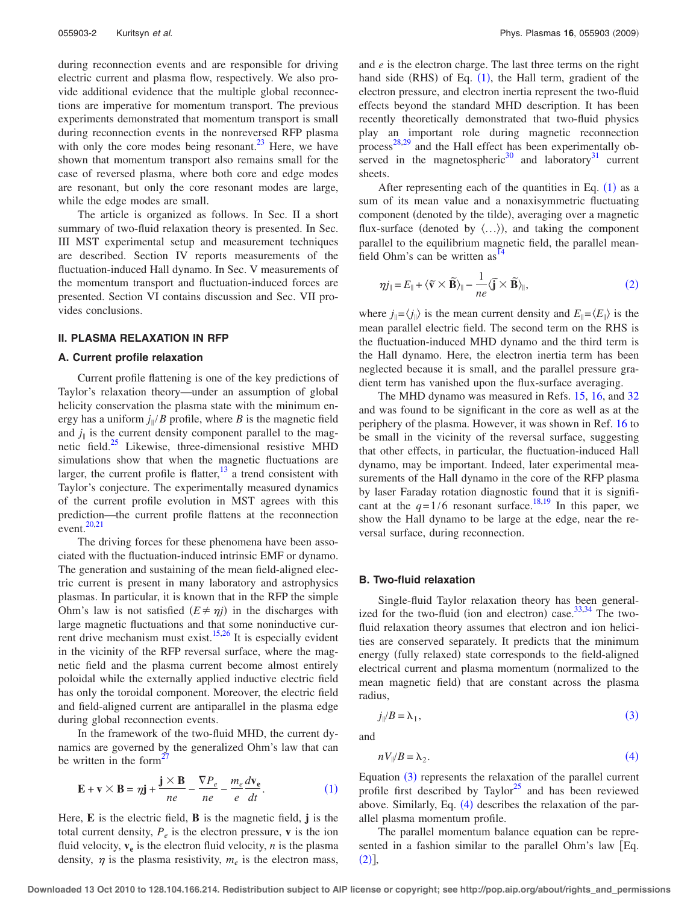during reconnection events and are responsible for driving electric current and plasma flow, respectively. We also provide additional evidence that the multiple global reconnections are imperative for momentum transport. The previous experiments demonstrated that momentum transport is small during reconnection events in the nonreversed RFP plasma with only the core modes being resonant.<sup>23</sup> Here, we have shown that momentum transport also remains small for the case of reversed plasma, where both core and edge modes are resonant, but only the core resonant modes are large, while the edge modes are small.

The article is organized as follows. In Sec. II a short summary of two-fluid relaxation theory is presented. In Sec. III MST experimental setup and measurement techniques are described. Section IV reports measurements of the fluctuation-induced Hall dynamo. In Sec. V measurements of the momentum transport and fluctuation-induced forces are presented. Section VI contains discussion and Sec. VII provides conclusions.

## **II. PLASMA RELAXATION IN RFP**

#### **A. Current profile relaxation**

Current profile flattening is one of the key predictions of Taylor's relaxation theory—under an assumption of global helicity conservation the plasma state with the minimum energy has a uniform  $j_{\parallel}/B$  profile, where *B* is the magnetic field and  $j_{\parallel}$  is the current density component parallel to the magnetic field.<sup>25</sup> Likewise, three-dimensional resistive MHD simulations show that when the magnetic fluctuations are larger, the current profile is flatter, $\frac{13}{3}$  a trend consistent with Taylor's conjecture. The experimentally measured dynamics of the current profile evolution in MST agrees with this prediction—the current profile flattens at the reconnection event. $20,21$  $20,21$ 

The driving forces for these phenomena have been associated with the fluctuation-induced intrinsic EMF or dynamo. The generation and sustaining of the mean field-aligned electric current is present in many laboratory and astrophysics plasmas. In particular, it is known that in the RFP the simple Ohm's law is not satisfied  $(E \neq \eta j)$  in the discharges with large magnetic fluctuations and that some noninductive current drive mechanism must exist[.15,](#page-6-18)[26](#page-6-19) It is especially evident in the vicinity of the RFP reversal surface, where the magnetic field and the plasma current become almost entirely poloidal while the externally applied inductive electric field has only the toroidal component. Moreover, the electric field and field-aligned current are antiparallel in the plasma edge during global reconnection events.

In the framework of the two-fluid MHD, the current dynamics are governed by the generalized Ohm's law that can be written in the form $2^{\circ}$ 

<span id="page-1-0"></span>
$$
\mathbf{E} + \mathbf{v} \times \mathbf{B} = \eta \mathbf{j} + \frac{\mathbf{j} \times \mathbf{B}}{ne} - \frac{\nabla P_e}{ne} - \frac{m_e}{e} \frac{d\mathbf{v_e}}{dt}.
$$
 (1)

Here, **E** is the electric field, **B** is the magnetic field, **j** is the total current density,  $P_e$  is the electron pressure, **v** is the ion fluid velocity,  $v_e$  is the electron fluid velocity,  $n$  is the plasma density,  $\eta$  is the plasma resistivity,  $m_e$  is the electron mass, and *e* is the electron charge. The last three terms on the right hand side  $(RHS)$  of Eq.  $(1)$  $(1)$  $(1)$ , the Hall term, gradient of the electron pressure, and electron inertia represent the two-fluid effects beyond the standard MHD description. It has been recently theoretically demonstrated that two-fluid physics play an important role during magnetic reconnection process $^{28,29}$  $^{28,29}$  $^{28,29}$  $^{28,29}$  and the Hall effect has been experimentally observed in the magnetospheric<sup>30</sup> and laboratory<sup>31</sup> current sheets.

After representing each of the quantities in Eq.  $(1)$  $(1)$  $(1)$  as a sum of its mean value and a nonaxisymmetric fluctuating component (denoted by the tilde), averaging over a magnetic flux-surface (denoted by  $\langle \ldots \rangle$ ), and taking the component parallel to the equilibrium magnetic field, the parallel meanfield Ohm's can be written  $\text{as}^{\frac{14}{3}}$ 

<span id="page-1-1"></span>
$$
\eta j_{\parallel} = E_{\parallel} + \langle \widetilde{\mathbf{v}} \times \widetilde{\mathbf{B}} \rangle_{\parallel} - \frac{1}{ne} \langle \widetilde{\mathbf{j}} \times \widetilde{\mathbf{B}} \rangle_{\parallel},\tag{2}
$$

where  $j_{\parallel} = \langle j_{\parallel} \rangle$  is the mean current density and  $E_{\parallel} = \langle E_{\parallel} \rangle$  is the mean parallel electric field. The second term on the RHS is the fluctuation-induced MHD dynamo and the third term is the Hall dynamo. Here, the electron inertia term has been neglected because it is small, and the parallel pressure gradient term has vanished upon the flux-surface averaging.

The MHD dynamo was measured in Refs. [15,](#page-6-18) [16,](#page-6-10) and [32](#page-6-26) and was found to be significant in the core as well as at the periphery of the plasma. However, it was shown in Ref. [16](#page-6-10) to be small in the vicinity of the reversal surface, suggesting that other effects, in particular, the fluctuation-induced Hall dynamo, may be important. Indeed, later experimental measurements of the Hall dynamo in the core of the RFP plasma by laser Faraday rotation diagnostic found that it is significant at the  $q=1/6$  resonant surface.<sup>18,[19](#page-6-6)</sup> In this paper, we show the Hall dynamo to be large at the edge, near the reversal surface, during reconnection.

#### **B. Two-fluid relaxation**

Single-fluid Taylor relaxation theory has been generalized for the two-fluid (ion and electron) case. $33,34$  $33,34$  The twofluid relaxation theory assumes that electron and ion helicities are conserved separately. It predicts that the minimum energy (fully relaxed) state corresponds to the field-aligned electrical current and plasma momentum (normalized to the mean magnetic field) that are constant across the plasma radius,

$$
j_{\parallel}/B = \lambda_1,\tag{3}
$$

<span id="page-1-3"></span><span id="page-1-2"></span>and

$$
nV_{\parallel}/B = \lambda_2. \tag{4}
$$

Equation  $(3)$  $(3)$  $(3)$  represents the relaxation of the parallel current profile first described by Taylor $^{25}$  and has been reviewed above. Similarly, Eq.  $(4)$  $(4)$  $(4)$  describes the relaxation of the parallel plasma momentum profile.

The parallel momentum balance equation can be represented in a fashion similar to the parallel Ohm's law  $[Eq.$  $(2)$  $(2)$  $(2)$ ],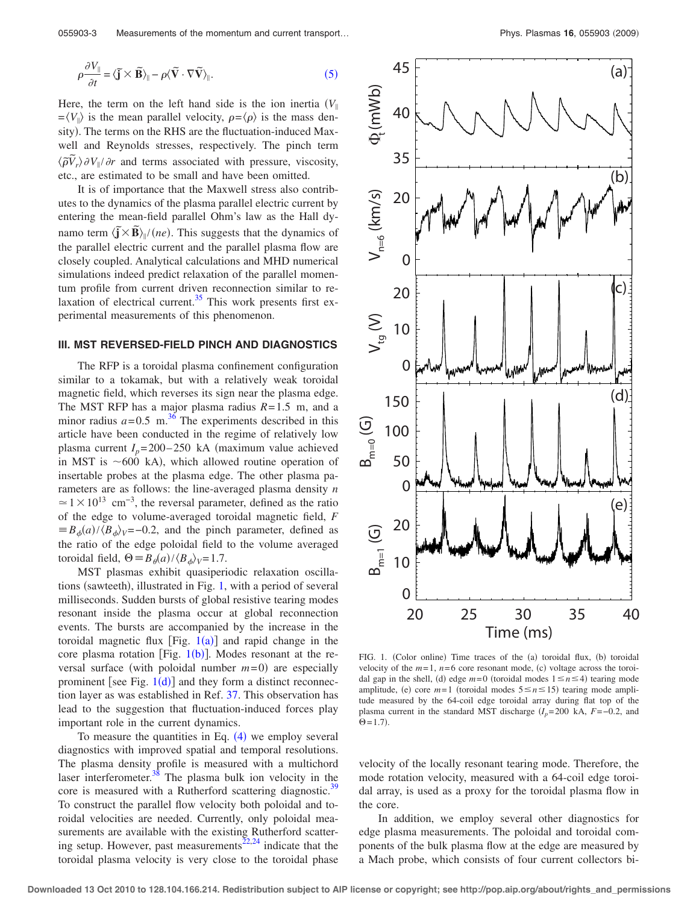<span id="page-2-0"></span>
$$
\rho \frac{\partial V_{\parallel}}{\partial t} = \langle \tilde{\mathbf{j}} \times \tilde{\mathbf{B}} \rangle_{\parallel} - \rho \langle \tilde{\mathbf{V}} \cdot \nabla \tilde{\mathbf{V}} \rangle_{\parallel}.
$$
 (5)

Here, the term on the left hand side is the ion inertia  $(V_{\parallel})$  $=\langle V_{\parallel} \rangle$  is the mean parallel velocity,  $\rho = \langle \rho \rangle$  is the mass density). The terms on the RHS are the fluctuation-induced Maxwell and Reynolds stresses, respectively. The pinch term  $\langle \tilde{\rho} \tilde{V}_r \rangle \partial V_{\parallel} / \partial r$  and terms associated with pressure, viscosity, etc., are estimated to be small and have been omitted.

It is of importance that the Maxwell stress also contributes to the dynamics of the plasma parallel electric current by entering the mean-field parallel Ohm's law as the Hall dynamo term  $\langle \tilde{\mathbf{j}} \times \tilde{\mathbf{B}} \rangle_{\parallel}/(ne)$ . This suggests that the dynamics of the parallel electric current and the parallel plasma flow are closely coupled. Analytical calculations and MHD numerical simulations indeed predict relaxation of the parallel momentum profile from current driven reconnection similar to relaxation of electrical current. $35$  This work presents first experimental measurements of this phenomenon.

## **III. MST REVERSED-FIELD PINCH AND DIAGNOSTICS**

The RFP is a toroidal plasma confinement configuration similar to a tokamak, but with a relatively weak toroidal magnetic field, which reverses its sign near the plasma edge. The MST RFP has a major plasma radius *R*= 1.5 m, and a minor radius  $a = 0.5$  m.<sup>[36](#page-6-31)</sup> The experiments described in this article have been conducted in the regime of relatively low plasma current  $I_p = 200 - 250$  kA (maximum value achieved in MST is  $\sim$  600 kA), which allowed routine operation of insertable probes at the plasma edge. The other plasma parameters are as follows: the line-averaged plasma density *n*  $\approx$  1 × 10<sup>13</sup> cm<sup>-3</sup>, the reversal parameter, defined as the ratio of the edge to volume-averaged toroidal magnetic field, *F*  $\equiv B_{\phi}(a)/\langle B_{\phi}\rangle$ <sub>V</sub>=−0.2, and the pinch parameter, defined as the ratio of the edge poloidal field to the volume averaged toroidal field,  $\Theta = B_{\theta}(a)/\langle B_{\phi} \rangle_{V} = 1.7$ .

MST plasmas exhibit quasiperiodic relaxation oscilla-tions (sawteeth), illustrated in Fig. [1,](#page-2-1) with a period of several milliseconds. Sudden bursts of global resistive tearing modes resonant inside the plasma occur at global reconnection events. The bursts are accompanied by the increase in the toroidal magnetic flux  $[Fig. 1(a)]$  $[Fig. 1(a)]$  $[Fig. 1(a)]$  and rapid change in the core plasma rotation [Fig.  $1(b)$  $1(b)$ ]. Modes resonant at the reversal surface (with poloidal number  $m = 0$ ) are especially prominent [see Fig.  $1(d)$  $1(d)$ ] and they form a distinct reconnection layer as was established in Ref. [37.](#page-6-32) This observation has lead to the suggestion that fluctuation-induced forces play important role in the current dynamics.

To measure the quantities in Eq.  $(4)$  $(4)$  $(4)$  we employ several diagnostics with improved spatial and temporal resolutions. The plasma density profile is measured with a multichord laser interferometer. $38$  The plasma bulk ion velocity in the core is measured with a Rutherford scattering diagnostic.<sup>39</sup> To construct the parallel flow velocity both poloidal and toroidal velocities are needed. Currently, only poloidal measurements are available with the existing Rutherford scatter-ing setup. However, past measurements<sup>22[,24](#page-6-16)</sup> indicate that the toroidal plasma velocity is very close to the toroidal phase

<span id="page-2-1"></span>

FIG. 1. (Color online) Time traces of the (a) toroidal flux, (b) toroidal velocity of the  $m=1$ ,  $n=6$  core resonant mode, (c) voltage across the toroidal gap in the shell, (d) edge  $m=0$  (toroidal modes  $1 \le n \le 4$ ) tearing mode amplitude, (e) core  $m=1$  (toroidal modes  $5 \le n \le 15$ ) tearing mode amplitude measured by the 64-coil edge toroidal array during flat top of the plasma current in the standard MST discharge  $(I_p=200 \text{ kA}, F=-0.2, \text{ and}$  $\Theta = 1.7$ .

velocity of the locally resonant tearing mode. Therefore, the mode rotation velocity, measured with a 64-coil edge toroidal array, is used as a proxy for the toroidal plasma flow in the core.

In addition, we employ several other diagnostics for edge plasma measurements. The poloidal and toroidal components of the bulk plasma flow at the edge are measured by a Mach probe, which consists of four current collectors bi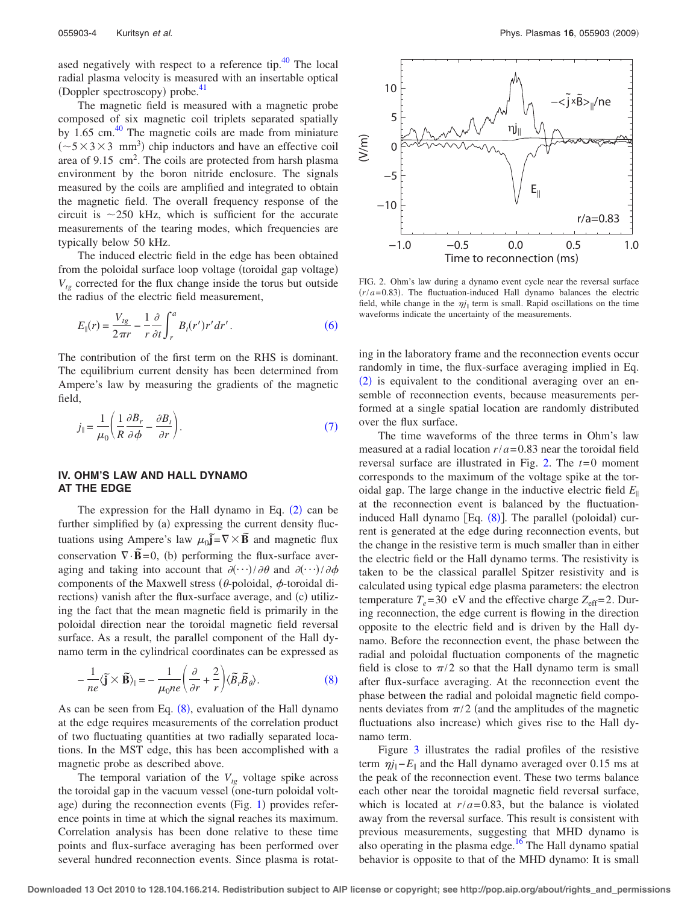ased negatively with respect to a reference tip.<sup>40</sup> The local radial plasma velocity is measured with an insertable optical (Doppler spectroscopy) probe.<sup>41</sup>

The magnetic field is measured with a magnetic probe composed of six magnetic coil triplets separated spatially by  $1.65$  cm. $40$  The magnetic coils are made from miniature  $(\sim 5 \times 3 \times 3$  mm<sup>3</sup>) chip inductors and have an effective coil area of  $9.15 \text{ cm}^2$ . The coils are protected from harsh plasma environment by the boron nitride enclosure. The signals measured by the coils are amplified and integrated to obtain the magnetic field. The overall frequency response of the circuit is  $\sim$ 250 kHz, which is sufficient for the accurate measurements of the tearing modes, which frequencies are typically below 50 kHz.

The induced electric field in the edge has been obtained from the poloidal surface loop voltage (toroidal gap voltage)  $V_{te}$  corrected for the flux change inside the torus but outside the radius of the electric field measurement,

<span id="page-3-0"></span>
$$
E_{\parallel}(r) = \frac{V_{tg}}{2\pi r} - \frac{1}{r} \frac{\partial}{\partial t} \int_{r}^{a} B_t(r')r' dr'.
$$
 (6)

The contribution of the first term on the RHS is dominant. The equilibrium current density has been determined from Ampere's law by measuring the gradients of the magnetic field,

<span id="page-3-1"></span>
$$
j_{\parallel} = \frac{1}{\mu_0} \left( \frac{1}{R} \frac{\partial B_r}{\partial \phi} - \frac{\partial B_t}{\partial r} \right). \tag{7}
$$

#### **IV. OHM'S LAW AND HALL DYNAMO AT THE EDGE**

The expression for the Hall dynamo in Eq.  $(2)$  $(2)$  $(2)$  can be further simplified by (a) expressing the current density fluctuations using Ampere's law  $\mu_0 \tilde{j} = \nabla \times \tilde{B}$  and magnetic flux conservation  $\nabla \cdot \vec{B} = 0$ , (b) performing the flux-surface averaging and taking into account that  $\partial(\cdot\cdot\cdot)/\partial\theta$  and  $\partial(\cdot\cdot\cdot)/\partial\phi$ components of the Maxwell stress ( $\theta$ -poloidal,  $\phi$ -toroidal directions) vanish after the flux-surface average, and (c) utilizing the fact that the mean magnetic field is primarily in the poloidal direction near the toroidal magnetic field reversal surface. As a result, the parallel component of the Hall dynamo term in the cylindrical coordinates can be expressed as

<span id="page-3-2"></span>
$$
-\frac{1}{ne}\langle \tilde{\mathbf{j}}\times\tilde{\mathbf{B}}\rangle_{\parallel} = -\frac{1}{\mu_0 ne}\left(\frac{\partial}{\partial r} + \frac{2}{r}\right)\langle \tilde{B}_r\tilde{B}_{\theta}\rangle.
$$
 (8)

As can be seen from Eq.  $(8)$  $(8)$  $(8)$ , evaluation of the Hall dynamo at the edge requires measurements of the correlation product of two fluctuating quantities at two radially separated locations. In the MST edge, this has been accomplished with a magnetic probe as described above.

The temporal variation of the  $V_{tg}$  voltage spike across the toroidal gap in the vacuum vessel (one-turn poloidal voltage) during the reconnection events  $(Fig. 1)$  $(Fig. 1)$  $(Fig. 1)$  provides reference points in time at which the signal reaches its maximum. Correlation analysis has been done relative to these time points and flux-surface averaging has been performed over several hundred reconnection events. Since plasma is rotat-

<span id="page-3-3"></span>

FIG. 2. Ohm's law during a dynamo event cycle near the reversal surface  $(r/a = 0.83)$ . The fluctuation-induced Hall dynamo balances the electric field, while change in the  $\eta j_{\parallel}$  term is small. Rapid oscillations on the time waveforms indicate the uncertainty of the measurements.

ing in the laboratory frame and the reconnection events occur randomly in time, the flux-surface averaging implied in Eq.  $(2)$  $(2)$  $(2)$  is equivalent to the conditional averaging over an ensemble of reconnection events, because measurements performed at a single spatial location are randomly distributed over the flux surface.

The time waveforms of the three terms in Ohm's law measured at a radial location  $r/a = 0.83$  near the toroidal field reversal surface are illustrated in Fig. [2.](#page-3-3) The *t*= 0 moment corresponds to the maximum of the voltage spike at the toroidal gap. The large change in the inductive electric field  $E_{\parallel}$ at the reconnection event is balanced by the fluctuationinduced Hall dynamo  $[Eq. (8)]$  $[Eq. (8)]$  $[Eq. (8)]$ . The parallel (poloidal) current is generated at the edge during reconnection events, but the change in the resistive term is much smaller than in either the electric field or the Hall dynamo terms. The resistivity is taken to be the classical parallel Spitzer resistivity and is calculated using typical edge plasma parameters: the electron temperature  $T_e$ =30 eV and the effective charge  $Z_{\text{eff}}$ =2. During reconnection, the edge current is flowing in the direction opposite to the electric field and is driven by the Hall dynamo. Before the reconnection event, the phase between the radial and poloidal fluctuation components of the magnetic field is close to  $\pi/2$  so that the Hall dynamo term is small after flux-surface averaging. At the reconnection event the phase between the radial and poloidal magnetic field components deviates from  $\pi/2$  (and the amplitudes of the magnetic fluctuations also increase) which gives rise to the Hall dynamo term.

Figure [3](#page-4-0) illustrates the radial profiles of the resistive term  $\eta j_{\parallel}$ − $E_{\parallel}$  and the Hall dynamo averaged over 0.15 ms at the peak of the reconnection event. These two terms balance each other near the toroidal magnetic field reversal surface, which is located at  $r/a = 0.83$ , but the balance is violated away from the reversal surface. This result is consistent with previous measurements, suggesting that MHD dynamo is also operating in the plasma edge.<sup>16</sup> The Hall dynamo spatial behavior is opposite to that of the MHD dynamo: It is small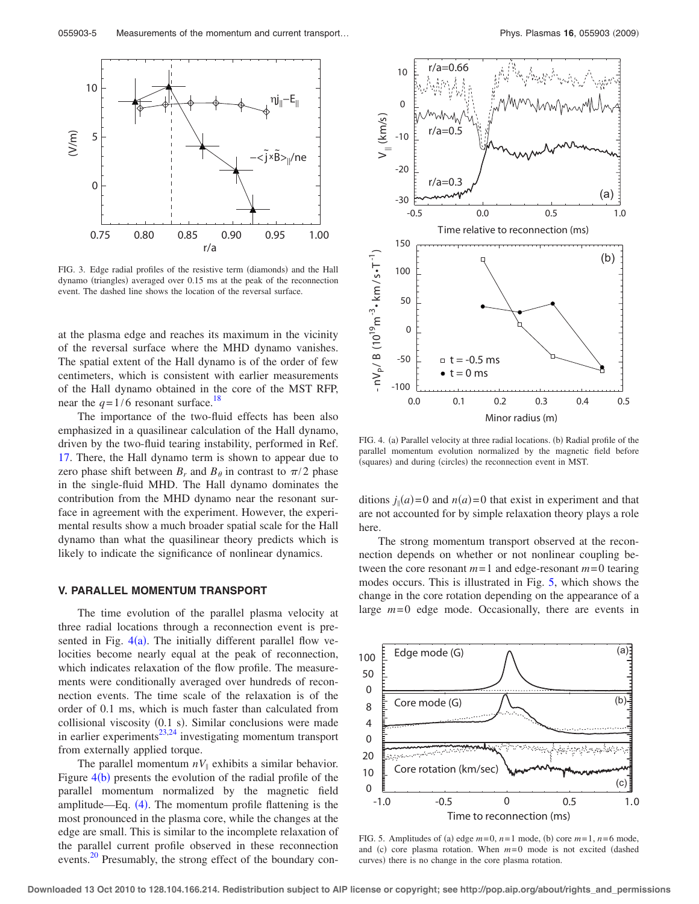<span id="page-4-0"></span>

FIG. 3. Edge radial profiles of the resistive term (diamonds) and the Hall dynamo (triangles) averaged over 0.15 ms at the peak of the reconnection event. The dashed line shows the location of the reversal surface.

at the plasma edge and reaches its maximum in the vicinity of the reversal surface where the MHD dynamo vanishes. The spatial extent of the Hall dynamo is of the order of few centimeters, which is consistent with earlier measurements of the Hall dynamo obtained in the core of the MST RFP, near the  $q=1/6$  resonant surface.<sup>18</sup>

The importance of the two-fluid effects has been also emphasized in a quasilinear calculation of the Hall dynamo, driven by the two-fluid tearing instability, performed in Ref. [17.](#page-6-11) There, the Hall dynamo term is shown to appear due to zero phase shift between  $B_r$  and  $B_\theta$  in contrast to  $\pi/2$  phase in the single-fluid MHD. The Hall dynamo dominates the contribution from the MHD dynamo near the resonant surface in agreement with the experiment. However, the experimental results show a much broader spatial scale for the Hall dynamo than what the quasilinear theory predicts which is likely to indicate the significance of nonlinear dynamics.

## **V. PARALLEL MOMENTUM TRANSPORT**

The time evolution of the parallel plasma velocity at three radial locations through a reconnection event is presented in Fig.  $4(a)$  $4(a)$ . The initially different parallel flow velocities become nearly equal at the peak of reconnection, which indicates relaxation of the flow profile. The measurements were conditionally averaged over hundreds of reconnection events. The time scale of the relaxation is of the order of 0.1 ms, which is much faster than calculated from collisional viscosity (0.1 s). Similar conclusions were made in earlier experiments $^{23,24}$  $^{23,24}$  $^{23,24}$  investigating momentum transport from externally applied torque.

The parallel momentum  $nV_{\parallel}$  exhibits a similar behavior. Figure  $4(b)$  $4(b)$  presents the evolution of the radial profile of the parallel momentum normalized by the magnetic field amplitude—Eq.  $(4)$  $(4)$  $(4)$ . The momentum profile flattening is the most pronounced in the plasma core, while the changes at the edge are small. This is similar to the incomplete relaxation of the parallel current profile observed in these reconnection events.<sup>20</sup> Presumably, the strong effect of the boundary con-

<span id="page-4-1"></span>

FIG. 4. (a) Parallel velocity at three radial locations. (b) Radial profile of the parallel momentum evolution normalized by the magnetic field before (squares) and during (circles) the reconnection event in MST.

ditions  $j_{\parallel}(a) = 0$  and  $n(a) = 0$  that exist in experiment and that are not accounted for by simple relaxation theory plays a role here.

The strong momentum transport observed at the reconnection depends on whether or not nonlinear coupling between the core resonant  $m=1$  and edge-resonant  $m=0$  tearing modes occurs. This is illustrated in Fig. [5,](#page-4-2) which shows the change in the core rotation depending on the appearance of a large  $m=0$  edge mode. Occasionally, there are events in

<span id="page-4-2"></span>

FIG. 5. Amplitudes of (a) edge  $m=0$ ,  $n=1$  mode, (b) core  $m=1$ ,  $n=6$  mode, and  $(c)$  core plasma rotation. When  $m=0$  mode is not excited (dashed curves) there is no change in the core plasma rotation.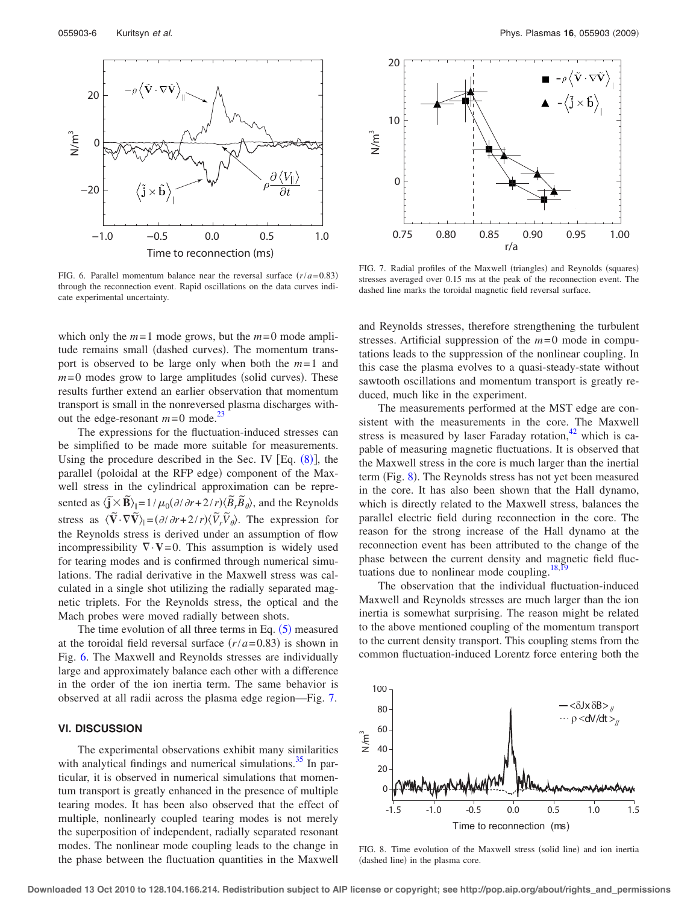<span id="page-5-0"></span>

FIG. 6. Parallel momentum balance near the reversal surface  $(r/a = 0.83)$ through the reconnection event. Rapid oscillations on the data curves indicate experimental uncertainty.

which only the  $m=1$  mode grows, but the  $m=0$  mode amplitude remains small (dashed curves). The momentum transport is observed to be large only when both the *m*= 1 and  $m=0$  modes grow to large amplitudes (solid curves). These results further extend an earlier observation that momentum transport is small in the nonreversed plasma discharges without the edge-resonant  $m=0$  mode.<sup>23</sup>

The expressions for the fluctuation-induced stresses can be simplified to be made more suitable for measurements. Using the procedure described in the Sec. IV  $[Eq. (8)]$  $[Eq. (8)]$  $[Eq. (8)]$ , the parallel (poloidal at the RFP edge) component of the Maxwell stress in the cylindrical approximation can be represented as  $\langle \tilde{\mathbf{j}} \times \tilde{\mathbf{B}} \rangle_{\parallel} = 1/\mu_0 (\partial/\partial r + 2/r) \langle \tilde{B}_r \tilde{B}_\theta \rangle$ , and the Reynolds stress as  $\langle \tilde{\bf{V}} \cdot \nabla \tilde{\bf{V}} \rangle_{\parallel} = (\partial/\partial r + 2/r) \langle \tilde{V}_r \tilde{V}_\theta \rangle$ . The expression for the Reynolds stress is derived under an assumption of flow incompressibility  $\nabla \cdot \mathbf{V} = 0$ . This assumption is widely used for tearing modes and is confirmed through numerical simulations. The radial derivative in the Maxwell stress was calculated in a single shot utilizing the radially separated magnetic triplets. For the Reynolds stress, the optical and the Mach probes were moved radially between shots.

The time evolution of all three terms in Eq.  $(5)$  $(5)$  $(5)$  measured at the toroidal field reversal surface  $(r/a=0.83)$  is shown in Fig. [6.](#page-5-0) The Maxwell and Reynolds stresses are individually large and approximately balance each other with a difference in the order of the ion inertia term. The same behavior is observed at all radii across the plasma edge region—Fig. [7.](#page-5-1)

#### **VI. DISCUSSION**

The experimental observations exhibit many similarities with analytical findings and numerical simulations.<sup>35</sup> In particular, it is observed in numerical simulations that momentum transport is greatly enhanced in the presence of multiple tearing modes. It has been also observed that the effect of multiple, nonlinearly coupled tearing modes is not merely the superposition of independent, radially separated resonant modes. The nonlinear mode coupling leads to the change in the phase between the fluctuation quantities in the Maxwell

<span id="page-5-1"></span>

FIG. 7. Radial profiles of the Maxwell (triangles) and Reynolds (squares) stresses averaged over 0.15 ms at the peak of the reconnection event. The dashed line marks the toroidal magnetic field reversal surface.

and Reynolds stresses, therefore strengthening the turbulent stresses. Artificial suppression of the  $m=0$  mode in computations leads to the suppression of the nonlinear coupling. In this case the plasma evolves to a quasi-steady-state without sawtooth oscillations and momentum transport is greatly reduced, much like in the experiment.

The measurements performed at the MST edge are consistent with the measurements in the core. The Maxwell stress is measured by laser Faraday rotation, $42$  which is capable of measuring magnetic fluctuations. It is observed that the Maxwell stress in the core is much larger than the inertial term (Fig. [8](#page-5-2)). The Reynolds stress has not yet been measured in the core. It has also been shown that the Hall dynamo, which is directly related to the Maxwell stress, balances the parallel electric field during reconnection in the core. The reason for the strong increase of the Hall dynamo at the reconnection event has been attributed to the change of the phase between the current density and magnetic field fluc-tuations due to nonlinear mode coupling.<sup>18,[19](#page-6-6)</sup>

The observation that the individual fluctuation-induced Maxwell and Reynolds stresses are much larger than the ion inertia is somewhat surprising. The reason might be related to the above mentioned coupling of the momentum transport to the current density transport. This coupling stems from the common fluctuation-induced Lorentz force entering both the

<span id="page-5-2"></span>

FIG. 8. Time evolution of the Maxwell stress (solid line) and ion inertia (dashed line) in the plasma core.